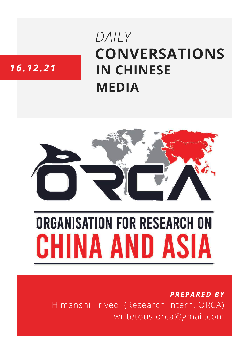## **CONVERSATIONS IN CHINESE MEDIA** *DAILY*

### *16.12.21*



# **ORGANISATION FOR RESEARCH ON** HINA AND ASIA

*PREPARED BY* Himanshi Trivedi (Research Intern, ORCA) writetous.orca@gmail.com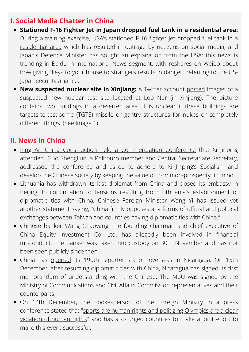#### **I. Social Media Chatter in China**

- **Stationed F-16 Fighter Jet in Japan dropped fuel tank in a residential area:** During a training exercise, USA's stationed F-16 fighter jet dropped fuel tank in a [residential](https://baijiahao.baidu.com/s?id=1719174047860960525) area which has resulted in outrage by netizens on social media, and Japan's Defence Minister has sought an explanation from the USA; this news is trending in Baidu in International News segment, with reshares on Weibo about how giving "keys to your house to strangers results in danger" referring to the US-Japan security alliance.
- **New suspected nuclear site in Xinjiang:** A Twitter account [posted](https://twitter.com/viper202020/status/1471378639275003905/photo/1) images of a suspected new nuclear test site located at Lop Nur (in Xinjiang). The picture contains two buildings in a deserted area. It is unclear if these buildings are targets-to-test-some (TGTS) missile or gantry structures for nukes or completely different things. (See Image 1)

#### **II. News in China**

- Ping An China Construction held a [Commendation](http://www.news.cn/politics/leaders/2021-12/16/c_1128169047.htm) Conference that Xi Jinping attended. Guo Shengkun, a Politburo member and Central Secretariate Secretary, addressed the conference and asked to adhere to Xi Jinping's Socialism and develop the Chinese society by keeping the value of "common-prosperity" in mind.
- Lithuania has [withdrawn](https://www.euronews.com/2021/12/15/lithuania-pulls-last-diplomat-from-china-amid-dispute-over-taiwan-relations) its last diplomat from China and closed its embassy in Beijing. In continuation to tensions resulting from Lithuania's establishment of diplomatic ties with China, Chinese Foreign Minister Wang Yi has issued yet another statement saying, "China firmly opposes any forms of official and political exchanges between Taiwan and countries having diplomatic ties with China."
- Chinese banker Wang Chaoyang, the founding chairman and chief executive of China Equity Investment Co. Ltd. has allegedly been [involved](https://www.ndtv.com/world-news/china-news-ex-wall-street-banker-wang-chaoyong-goes-missing-in-china-amid-probe-unseen-for-2-weeks-report-2654307) in financial misconduct. The banker was taken into custody on 30th November and has not been seen publicly since then.
- China has [opened](https://www.thepaper.cn/newsDetail_forward_15868121) its 190th reporter station overseas in Nicaragua. On 15th December, after resuming diplomatic ties with China, Nicaragua has signed its first memorandum of understanding with the Chinese. The MoU was signed by the Ministry of Communications and Civil Affairs Commission representatives and their counterparts.
- On 14th December, the Spokesperson of the Foreign Ministry in a press [conference](https://www.thepaper.cn/newsDetail_forward_15867126) stated that "sports are human rights and politizing Olympics are a clear violation of human rights" and has also urged countries to make a joint effort to make this event successful.